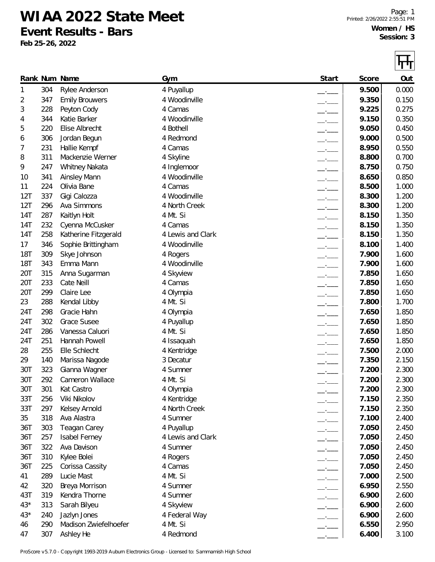**WIAA 2022 State Meet**

**Event Results - Bars**

**Feb 25-26, 2022**

|            |            |                                       |                           |                          |       | ГT             |
|------------|------------|---------------------------------------|---------------------------|--------------------------|-------|----------------|
|            |            | Rank Num Name                         | Gym                       | Start                    | Score | Out            |
| 1          | 304        | Rylee Anderson                        | 4 Puyallup                |                          | 9.500 | 0.000          |
| 2          | 347        | <b>Emily Brouwers</b>                 | 4 Woodinville             |                          | 9.350 | 0.150          |
| 3          | 228        | Peyton Cody                           | 4 Camas                   |                          | 9.225 | 0.275          |
| 4          | 344        | Katie Barker                          | 4 Woodinville             |                          | 9.150 | 0.350          |
| 5          | 220        | Elise Albrecht                        | 4 Bothell                 |                          | 9.050 | 0.450          |
| 6          | 306        | Jordan Begun                          | 4 Redmond                 |                          | 9.000 | 0.500          |
| 7          | 231        | Hallie Kempf                          | 4 Camas                   |                          | 8.950 | 0.550          |
| 8          | 311        | Mackenzie Werner                      | 4 Skyline                 |                          | 8.800 | 0.700          |
| 9          | 247        | Whitney Nakata                        | 4 Inglemoor               |                          | 8.750 | 0.750          |
| 10         | 341        | <b>Ainsley Mann</b>                   | 4 Woodinville             | $-$                      | 8.650 | 0.850          |
| 11         | 224        | Olivia Bane                           | 4 Camas                   |                          | 8.500 | 1.000          |
| 12T        | 337        | Gigi Calozza                          | 4 Woodinville             |                          | 8.300 | 1.200          |
| 12T        | 296        | Ava Simmons                           | 4 North Creek             |                          | 8.300 | 1.200          |
| 14T        | 287        | Kaitlyn Holt                          | 4 Mt. Si                  |                          | 8.150 | 1.350          |
| 14T        | 232        | Cyenna McCusker                       | 4 Camas                   | $-$                      | 8.150 | 1.350          |
| 14T        | 258        | Katherine Fitzgerald                  | 4 Lewis and Clark         | $-$                      | 8.150 | 1.350          |
| 17         | 346        | Sophie Brittingham                    | 4 Woodinville             |                          | 8.100 | 1.400          |
| <b>18T</b> | 309        | Skye Johnson                          | 4 Rogers                  |                          | 7.900 | 1.600          |
| <b>18T</b> | 343        | Emma Mann                             | 4 Woodinville             |                          | 7.900 | 1.600          |
| 20T        | 315        | Anna Sugarman                         | 4 Skyview                 |                          | 7.850 | 1.650          |
| 20T        | 233        | Cate Neill                            | 4 Camas                   |                          | 7.850 | 1.650          |
| 20T        | 299        | Claire Lee                            | 4 Olympia                 |                          | 7.850 | 1.650          |
| 23         | 288        | Kendal Libby                          | 4 Mt. Si                  |                          | 7.800 | 1.700          |
| 24T        | 298        | Gracie Hahn                           | 4 Olympia                 |                          | 7.650 | 1.850          |
| 24T        | 302        | <b>Grace Susee</b>                    | 4 Puyallup                | $-$                      | 7.650 | 1.850          |
| 24T        | 286        | Vanessa Caluori                       | 4 Mt. Si                  | $-1$                     | 7.650 | 1.850          |
| 24T        | 251        | Hannah Powell                         | 4 Issaquah                |                          | 7.650 | 1.850          |
| 28         | 255        | Elle Schlecht                         | 4 Kentridge               |                          | 7.500 | 2.000          |
| 29         | 140        | Marissa Nagode                        | 3 Decatur                 |                          | 7.350 | 2.150          |
| 30T        | 323        | Gianna Wagner                         | 4 Sumner                  |                          | 7.200 | 2.300          |
| 30T        | 292        | Cameron Wallace                       | 4 Mt. Si                  |                          | 7.200 | 2.300          |
| 30T        | 301        | Kat Castro                            | 4 Olympia                 |                          | 7.200 | 2.300          |
| 33T        | 256        | Viki Nikolov                          | 4 Kentridge               |                          | 7.150 | 2.350          |
| 33T        | 297        | Kelsey Arnold                         | 4 North Creek             | —•—                      | 7.150 | 2.350          |
| 35         | 318        | Ava Alastra                           | 4 Sumner                  | $ -$                     | 7.100 | 2.400          |
| 36T        | 303        | Teagan Carey                          | 4 Puyallup                | $ -$                     | 7.050 | 2.450          |
| 36T        | 257        | Isabel Ferney                         | 4 Lewis and Clark         | $-$                      | 7.050 | 2.450          |
| 36T        | 322        | Ava Davison                           | 4 Sumner                  | $ -$                     | 7.050 | 2.450          |
| 36T        | 310        | Kylee Bolei                           | 4 Rogers                  | $ -$                     | 7.050 | 2.450          |
| 36T        | 225        | Corissa Cassity                       | 4 Camas                   | $\overline{\phantom{a}}$ | 7.050 | 2.450          |
| 41         | 289        | Lucie Mast                            | 4 Mt. Si                  | $\overline{\phantom{a}}$ | 7.000 | 2.500          |
| 42         | 320        | Breya Morrison                        | 4 Sumner                  | $ -$                     | 6.950 | 2.550          |
| 43T        | 319        | Kendra Thorne                         | 4 Sumner                  | $ -$                     | 6.900 | 2.600          |
| $43*$      | 313        | Sarah Bilyeu                          | 4 Skyview                 | $-$                      | 6.900 | 2.600          |
| $43*$      |            |                                       |                           | $-$                      | 6.900 |                |
|            | 240<br>290 | Jazlyn Jones<br>Madison Zwiefelhoefer | 4 Federal Way<br>4 Mt. Si | $-$                      | 6.550 | 2.600<br>2.950 |
| 46<br>47   |            |                                       |                           |                          |       |                |
|            | 307        | Ashley He                             | 4 Redmond                 |                          | 6.400 | 3.100          |

ProScore v5.7.0 - Copyright 1993-2019 Auburn Electronics Group - Licensed to: Sammamish High School